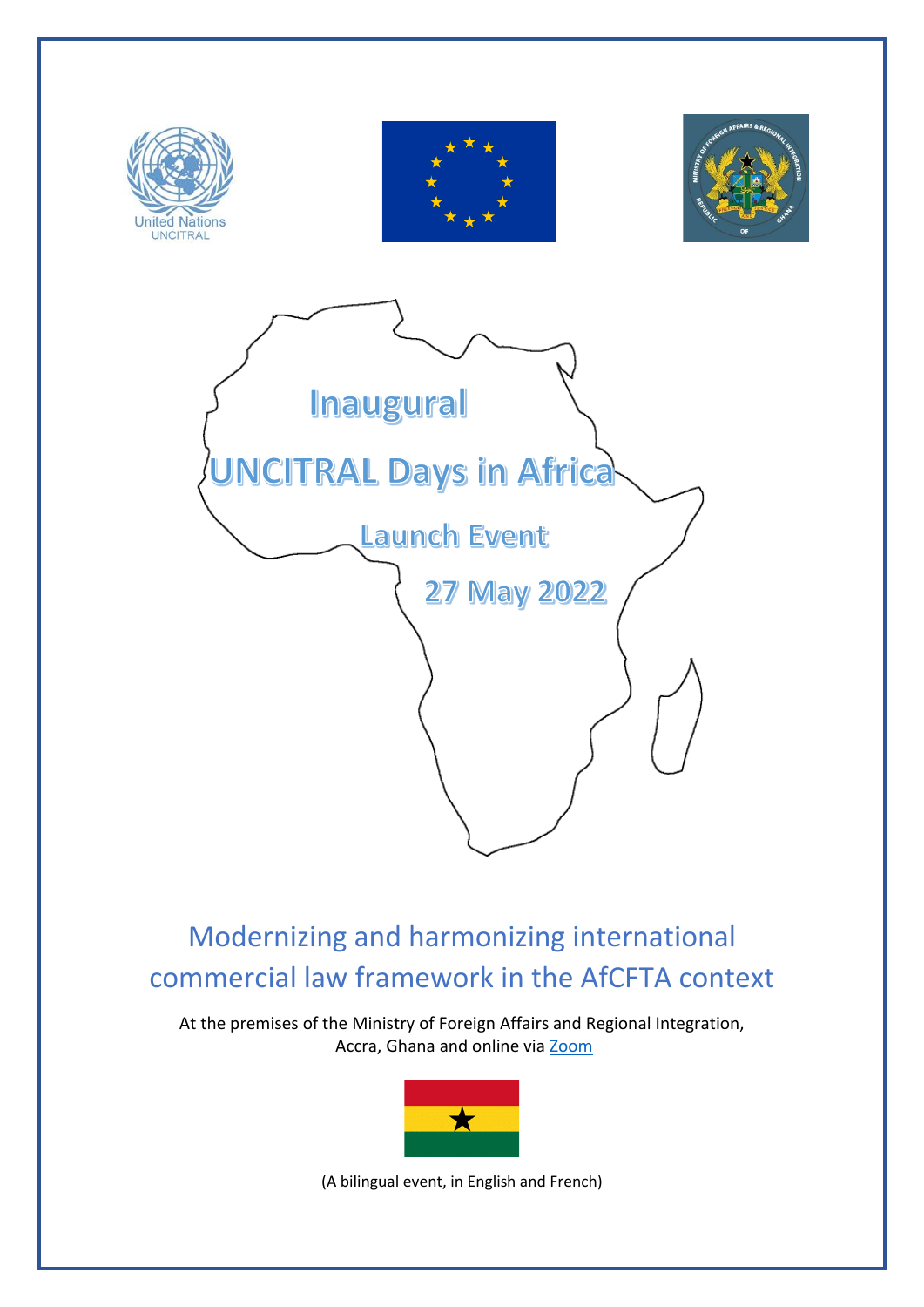

Modernizing and harmonizing international commercial law framework in the AfCFTA context

At the premises of the Ministry of Foreign Affairs and Regional Integration, Accra, Ghana and online via [Zoom](https://us02web.zoom.us/j/84974018486?pwd=MTE1QnR5c1JjM3UxZUo3SU84SWJQUT09)



(A bilingual event, in English and French)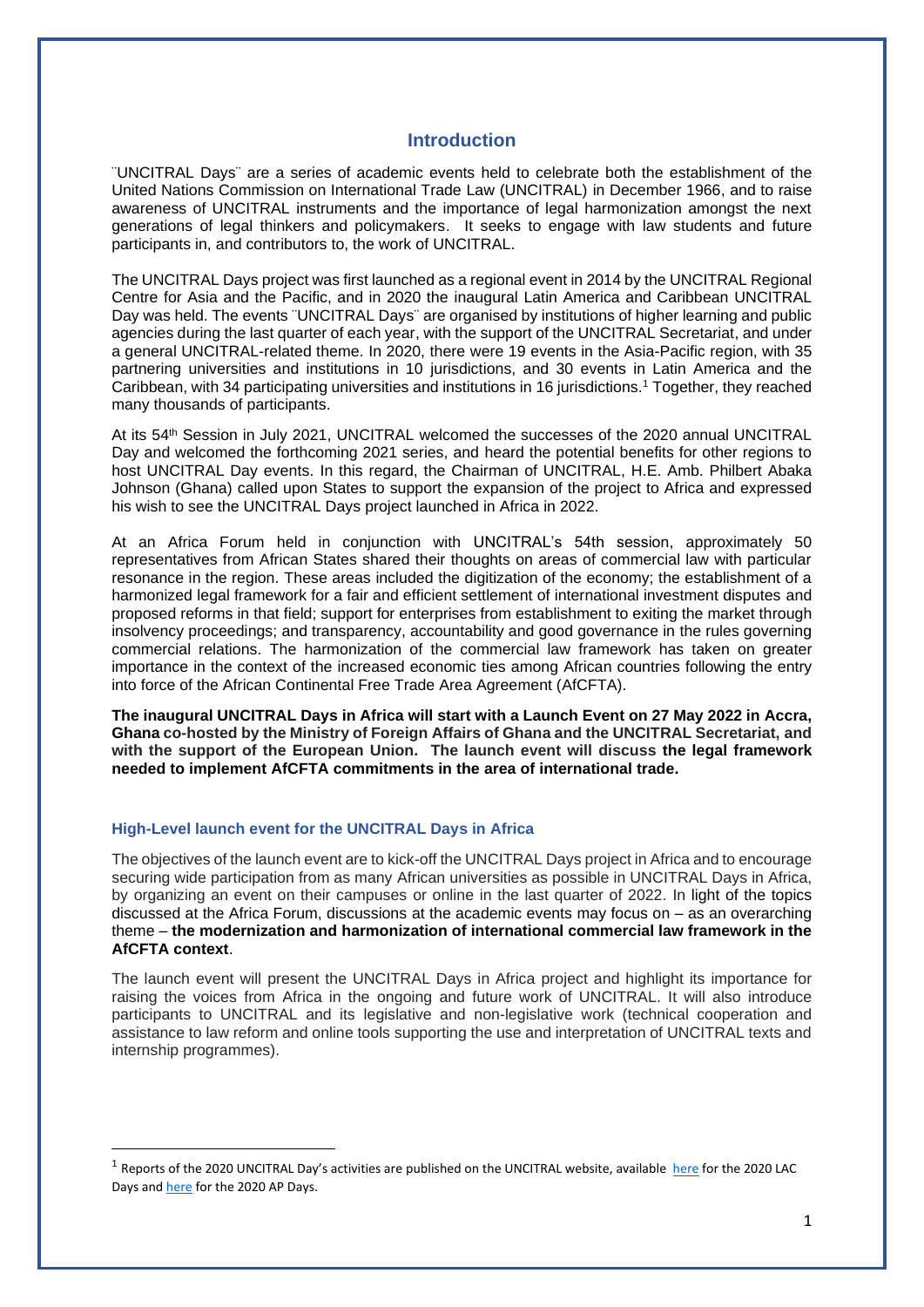#### **Introduction**

¨UNCITRAL Days¨ are a series of academic events held to celebrate both the establishment of the United Nations Commission on International Trade Law (UNCITRAL) in December 1966, and to raise awareness of UNCITRAL instruments and the importance of legal harmonization amongst the next generations of legal thinkers and policymakers. It seeks to engage with law students and future participants in, and contributors to, the work of UNCITRAL.

The UNCITRAL Days project was first launched as a regional event in 2014 by the UNCITRAL Regional Centre for Asia and the Pacific, and in 2020 the inaugural Latin America and Caribbean UNCITRAL Day was held. The events ¨UNCITRAL Days¨ are organised by institutions of higher learning and public agencies during the last quarter of each year, with the support of the UNCITRAL Secretariat, and under a general UNCITRAL-related theme. In 2020, there were 19 events in the Asia-Pacific region, with 35 partnering universities and institutions in 10 jurisdictions, and 30 events in Latin America and the Caribbean, with 34 participating universities and institutions in 16 jurisdictions.<sup>1</sup> Together, they reached many thousands of participants.

At its 54<sup>th</sup> Session in July 2021, UNCITRAL welcomed the successes of the 2020 annual UNCITRAL Day and welcomed the forthcoming 2021 series, and heard the potential benefits for other regions to host UNCITRAL Day events. In this regard, the Chairman of UNCITRAL, H.E. Amb. Philbert Abaka Johnson (Ghana) called upon States to support the expansion of the project to Africa and expressed his wish to see the UNCITRAL Days project launched in Africa in 2022.

At an Africa Forum held in conjunction with UNCITRAL's 54th session, approximately 50 representatives from African States shared their thoughts on areas of commercial law with particular resonance in the region. These areas included the digitization of the economy; the establishment of a harmonized legal framework for a fair and efficient settlement of international investment disputes and proposed reforms in that field; support for enterprises from establishment to exiting the market through insolvency proceedings; and transparency, accountability and good governance in the rules governing commercial relations. The harmonization of the commercial law framework has taken on greater importance in the context of the increased economic ties among African countries following the entry into force of the African Continental Free Trade Area Agreement (AfCFTA).

**The inaugural UNCITRAL Days in Africa will start with a Launch Event on 27 May 2022 in Accra, Ghana co-hosted by the Ministry of Foreign Affairs of Ghana and the UNCITRAL Secretariat, and with the support of the European Union. The launch event will discuss the legal framework needed to implement AfCFTA commitments in the area of international trade.**

#### **High-Level launch event for the UNCITRAL Days in Africa**

The objectives of the launch event are to kick-off the UNCITRAL Days project in Africa and to encourage securing wide participation from as many African universities as possible in UNCITRAL Days in Africa, by organizing an event on their campuses or online in the last quarter of 2022. In light of the topics discussed at the Africa Forum, discussions at the academic events may focus on – as an overarching theme – **the modernization and harmonization of international commercial law framework in the AfCFTA context**.

The launch event will present the UNCITRAL Days in Africa project and highlight its importance for raising the voices from Africa in the ongoing and future work of UNCITRAL. It will also introduce participants to UNCITRAL and its legislative and non-legislative work (technical cooperation and assistance to law reform and online tools supporting the use and interpretation of UNCITRAL texts and internship programmes).

<sup>&</sup>lt;sup>1</sup> Reports of the 2020 UNCITRAL Day's activities are published on the UNCITRAL website, available [here](https://uncitral.un.org/sites/uncitral.un.org/files/media-documents/uncitral/en/lacdayreport_2020.pdf) for the 2020 LAC Days an[d here](https://uncitral.un.org/sites/uncitral.un.org/files/media-documents/uncitral/en/apdayreport_2020.pdf) for the 2020 AP Days.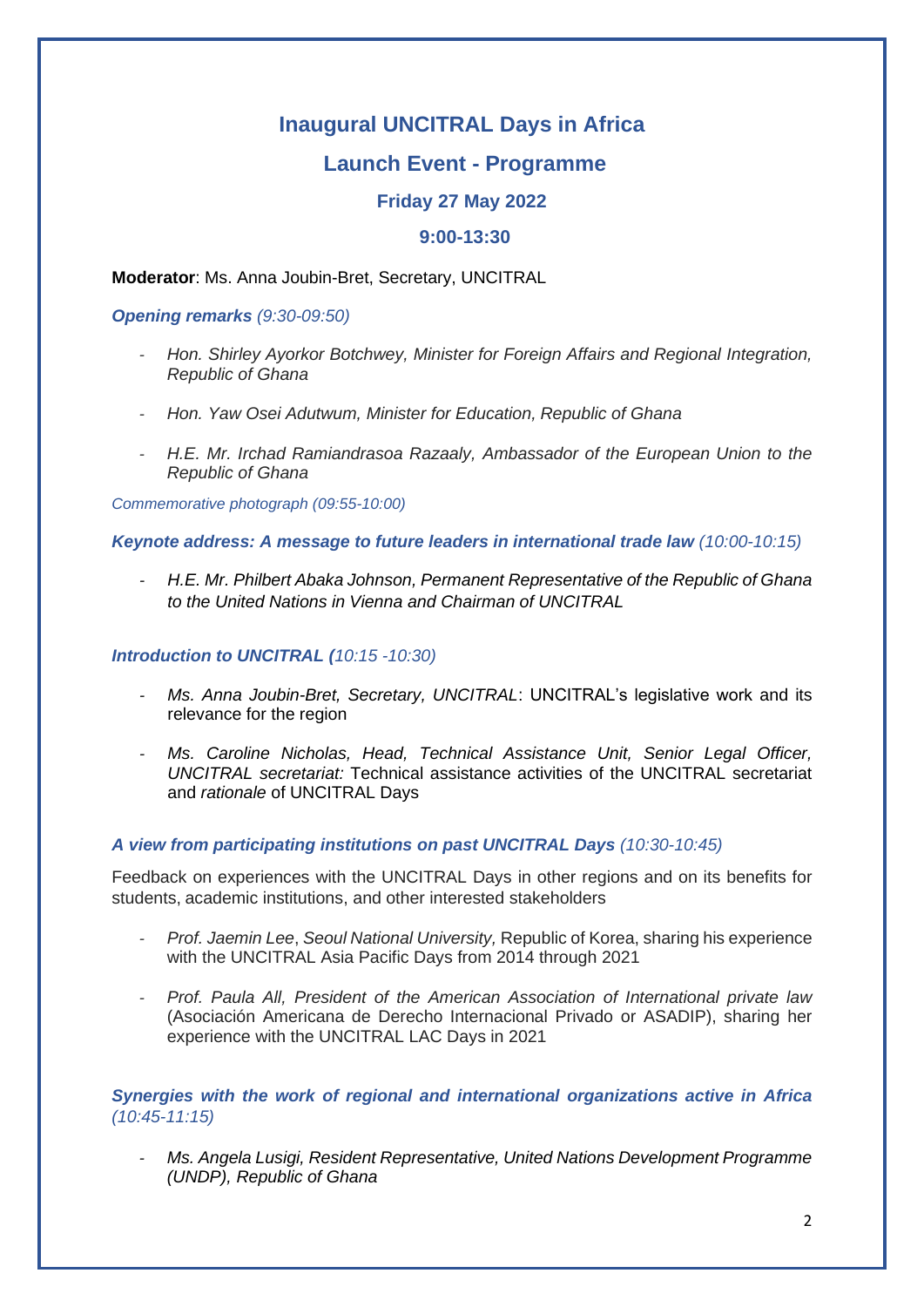# **Inaugural UNCITRAL Days in Africa**

# **Launch Event - Programme**

# **Friday 27 May 2022**

## **9:00-13:30**

**Moderator**: Ms. Anna Joubin-Bret, Secretary, UNCITRAL

### *Opening remarks (9:30-09:50)*

- *- Hon. Shirley Ayorkor Botchwey, Minister for Foreign Affairs and Regional Integration, Republic of Ghana*
- *- Hon. Yaw Osei Adutwum, Minister for Education, Republic of Ghana*
- *- H.E. Mr. Irchad Ramiandrasoa Razaaly, Ambassador of the European Union to the Republic of Ghana*

*Commemorative photograph (09:55-10:00)*

*Keynote address: A message to future leaders in international trade law (10:00-10:15)*

*- H.E. Mr. Philbert Abaka Johnson, Permanent Representative of the Republic of Ghana to the United Nations in Vienna and Chairman of UNCITRAL*

### *Introduction to UNCITRAL (10:15 -10:30)*

- *Ms. Anna Joubin-Bret, Secretary, UNCITRAL: UNCITRAL's legislative work and its* relevance for the region
- *- Ms. Caroline Nicholas, Head, Technical Assistance Unit, Senior Legal Officer, UNCITRAL secretariat:* Technical assistance activities of the UNCITRAL secretariat and *rationale* of UNCITRAL Days

## *A view from participating institutions on past UNCITRAL Days (10:30-10:45)*

Feedback on experiences with the UNCITRAL Days in other regions and on its benefits for students, academic institutions, and other interested stakeholders

- *- Prof. Jaemin Lee*, *Seoul National University,* Republic of Korea, sharing his experience with the UNCITRAL Asia Pacific Days from 2014 through 2021
- *- Prof. Paula All, President of the American Association of International private law* (Asociación Americana de Derecho Internacional Privado or ASADIP), sharing her experience with the UNCITRAL LAC Days in 2021

## *Synergies with the work of regional and international organizations active in Africa (10:45-11:15)*

*- Ms. Angela Lusigi, Resident Representative, United Nations Development Programme (UNDP), Republic of Ghana*